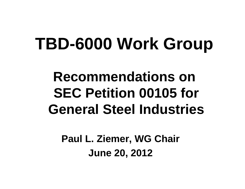# **TBD-6000 Work Group**

# **Recommendations onSEC Petition 00105 for General Steel Industries**

**Paul L. Ziemer, WG Chair June 20, 2012**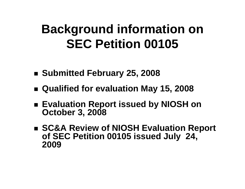#### **Background information on SEC Petition 00105**

- **Submitted February 25, 2008**
- **Qualified for evaluation May 15, 2008**
- **Evaluation Report issued by NIOSH on October 3, 2008**
- **SC&A Review of NIOSH Evaluation Report of SEC Petition 00105 issued July 24, 2009**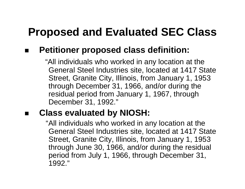#### **Proposed and Evaluated SEC Class**

#### **Petitioner proposed class definition:**

"All individuals who worked in any location at the General Steel Industries site, located at 1417 State Street, Granite City, Illinois, from January 1, 1953 through December 31, 1966, and/or during the residual period from January 1, 1967, through December 31, 1992."

#### **Class evaluated by NIOSH:**

"All individuals who worked in any location at the General Steel Industries site, located at 1417 State Street, Granite City, Illinois, from January 1, 1953 through June 30, 1966, and/or during the residual period from July 1, 1966, through December 31, 1992."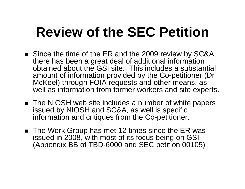# **Review of the SEC Petition**

- Since the time of the ER and the 2009 review by SC&A, there has been a great deal of additional information obtained about the GSI site. This includes a substantial amount of information provided by the Co-petitioner (Dr McKeel) through FOIA requests and other means, as well as information from former workers and site experts.
- The NIOSH web site includes a number of white papers issued by NIOSH and SC&A, as well is specific information and critiques from the Co-petitioner.
- The Work Group has met 12 times since the ER was issued in 2008, with most of its focus being on GSI (Appendix BB of TBD-6000 and SEC petition 00105)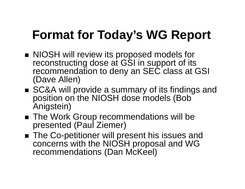#### **Format for Today's WG Report**

- NIOSH will review its proposed models for reconstructing dose at GSI in support of its recommendation to deny an SEC class at GSI (Dave Allen)
- SC&A will provide a summary of its findings and position on the NIOSH dose models (Bob Anigstein)
- The Work Group recommendations will be presented (Paul Ziemer)
- The Co-petitioner will present his issues and concerns with the NIOSH proposal and WG recommendations (Dan McKeel)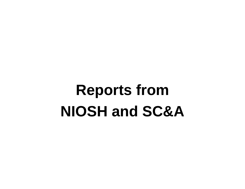# **Reports from NIOSH and SC&A**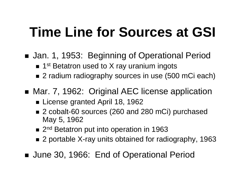# **Time Line for Sources at GSI**

- Jan. 1, 1953: Beginning of Operational Period
	- 1<sup>st</sup> Betatron used to X ray uranium ingots
	- 2 radium radiography sources in use (500 mCi each)
- Mar. 7, 1962: Original AEC license application
	- License granted April 18, 1962
	- 2 cobalt-60 sources (260 and 280 mCi) purchased May 5, 1962
	- 2<sup>nd</sup> Betatron put into operation in 1963
	- 2 portable X-ray units obtained for radiography, 1963
- June 30, 1966: End of Operational Period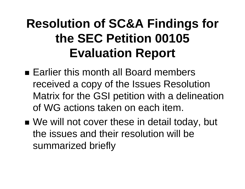#### **Resolution of SC&A Findings for the SEC Petition 00105 Evaluation Report**

- Earlier this month all Board members received a copy of the Issues Resolution Matrix for the GSI petition with a delineation of WG actions taken on each item.
- ■ We will not cover these in detail today, but the issues and their resolution will be summarized briefly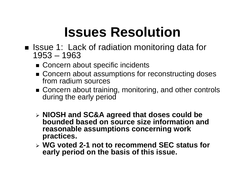- Issue 1: Lack of radiation monitoring data for 1953 – 1963
	- Concern about specific incidents
	- Concern about assumptions for reconstructing doses from radium sources
	- Concern about training, monitoring, and other controls during the early period
	- **NIOSH and SC&A agreed that doses could be bounded based on source size information and reasonable assumptions concerning work practices.**
	- **WG voted 2-1 not to recommend SEC status for early period on the basis of this issue.**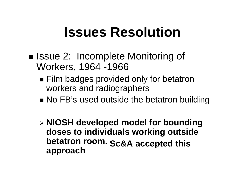- ■ Issue 2: Incomplete Monitoring of Workers, 1964 -1966
	- Film badges provided only for betatron workers and radiographers
	- No FB's used outside the betatron building
	- **NIOSH developed model for bounding doses to individuals working outside betatron room. Sc&A accepted this approach**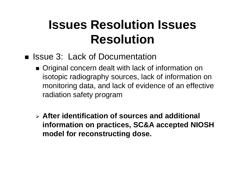#### **Issues Resolution Issues Resolution**

- Issue 3: Lack of Documentation
	- Original concern dealt with lack of information on isotopic radiography sources, lack of information on monitoring data, and lack of evidence of an effective radiation safety program
	- **After identification of sources and additional information on practices, SC&A accepted NIOSH model for reconstructing dose.**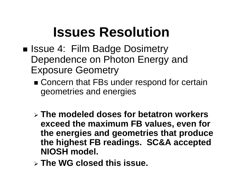- ■ Issue 4: Film Badge Dosimetry Dependence on Photon Energy and Exposure Geometry
	- Concern that FBs under respond for certain geometries and energies
	- **The modeled doses for betatron workers exceed the maximum FB values, even for the energies and geometries that produce the highest FB readings. SC&A accepted NIOSH model.**
	- **The WG closed this issue.**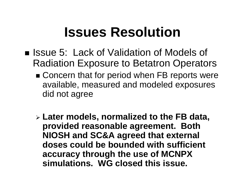- Issue 5: Lack of Validation of Models of Radiation Exposure to Betatron Operators
	- Concern that for period when FB reports were available, measured and modeled exposures did not agree
	- **Later models, normalized to the FB data, provided reasonable agreement. Both NIOSH and SC&A agreed that external doses could be bounded with sufficient accuracy through the use of MCNPX simulations. WG closed this issue.**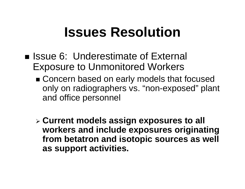- Issue 6: Underestimate of External Exposure to Unmonitored Workers
	- Concern based on early models that focused only on radiographers vs. "non-exposed" plant and office personnel
	- **Current models assign exposures to all workers and include exposures originating from betatron and isotopic sources as well as support activities.**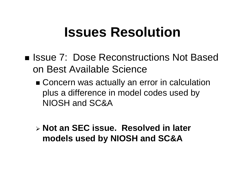- Issue 7: Dose Reconstructions Not Based on Best Available Science
	- Concern was actually an error in calculation plus a difference in model codes used by NIOSH and SC&A

 **Not an SEC issue. Resolved in later models used by NIOSH and SC&A**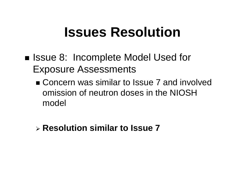- ■ Issue 8: Incomplete Model Used for Exposure Assessments
	- Concern was similar to Issue 7 and involved omission of neutron doses in the NIOSH model
	- **Resolution similar to Issue 7**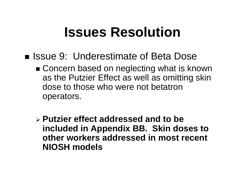- Issue 9: Underestimate of Beta Dose
	- Concern based on neglecting what is known as the Putzier Effect as well as omitting skin dose to those who were not betatron operators.
	- **Putzier effect addressed and to be included in Appendix BB. Skin doses to other workers addressed in most recent NIOSH models**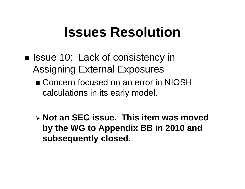- ■ Issue 10: Lack of consistency in Assigning External Exposures
	- Concern focused on an error in NIOSH calculations in its early model.
	- **Not an SEC issue. This item was moved by the WG to Appendix BB in 2010 and subsequently closed.**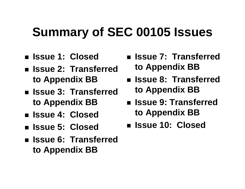#### **Summary of SEC 00105 Issues**

- **Issue 1: Closed**
- **Issue 2: Transferred by Appendix BB to Appendix BB**
- **Issue 3: Transferred to Appendix BB to Appendix BB**
- 
- **Issue 5: Closed**
- **Issue 6: Transferred to Appendix BB**
- **Issue 7: Transferred**
- **Issue 8: Transferred**
- **Issue 9: Transferred Issue 4: Closed to Appendix BB** 
	- **Issue 10: Closed**